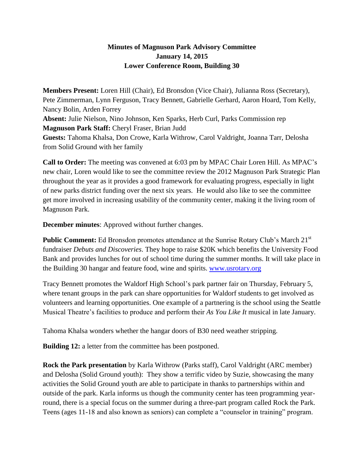## **Minutes of Magnuson Park Advisory Committee January 14, 2015 Lower Conference Room, Building 30**

**Members Present:** Loren Hill (Chair), Ed Bronsdon (Vice Chair), Julianna Ross (Secretary), Pete Zimmerman, Lynn Ferguson, Tracy Bennett, Gabrielle Gerhard, Aaron Hoard, Tom Kelly, Nancy Bolin, Arden Forrey **Absent:** Julie Nielson, Nino Johnson, Ken Sparks, Herb Curl, Parks Commission rep **Magnuson Park Staff:** Cheryl Fraser, Brian Judd **Guests:** Tahoma Khalsa, Don Crowe, Karla Withrow, Carol Valdright, Joanna Tarr, Delosha from Solid Ground with her family

**Call to Order:** The meeting was convened at 6:03 pm by MPAC Chair Loren Hill. As MPAC's new chair, Loren would like to see the committee review the 2012 Magnuson Park Strategic Plan throughout the year as it provides a good framework for evaluating progress, especially in light of new parks district funding over the next six years. He would also like to see the committee get more involved in increasing usability of the community center, making it the living room of Magnuson Park.

**December minutes**: Approved without further changes.

**Public Comment:** Ed Bronsdon promotes attendance at the Sunrise Rotary Club's March 21<sup>st</sup> fundraiser *Debuts and Discoveries*. They hope to raise \$20K which benefits the University Food Bank and provides lunches for out of school time during the summer months. It will take place in the Building 30 hangar and feature food, wine and spirits. [www.usrotary.org](http://www.usrotary.org/)

Tracy Bennett promotes the Waldorf High School's park partner fair on Thursday, February 5, where tenant groups in the park can share opportunities for Waldorf students to get involved as volunteers and learning opportunities. One example of a partnering is the school using the Seattle Musical Theatre's facilities to produce and perform their *As You Like It* musical in late January.

Tahoma Khalsa wonders whether the hangar doors of B30 need weather stripping.

**Building 12:** a letter from the committee has been postponed.

**Rock the Park presentation** by Karla Withrow (Parks staff), Carol Valdright (ARC member) and Delosha (Solid Ground youth): They show a terrific video by Suzie, showcasing the many activities the Solid Ground youth are able to participate in thanks to partnerships within and outside of the park. Karla informs us though the community center has teen programming yearround, there is a special focus on the summer during a three-part program called Rock the Park. Teens (ages 11-18 and also known as seniors) can complete a "counselor in training" program.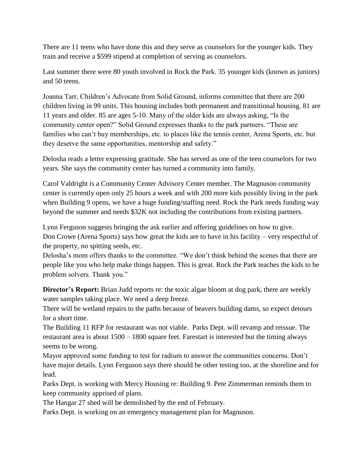There are 11 teens who have done this and they serve as counselors for the younger kids. They train and receive a \$599 stipend at completion of serving as counselors.

Last summer there were 80 youth involved in Rock the Park. 35 younger kids (known as juniors) and 50 teens.

Joanna Tarr, Children's Advocate from Solid Ground, informs committee that there are 200 children living in 99 units. This housing includes both permanent and transitional housing. 81 are 11 years and older. 85 are ages 5-10. Many of the older kids are always asking, "Is the community center open?" Solid Ground expresses thanks to the park partners. "These are families who can't buy memberships, etc. to places like the tennis center, Arena Sports, etc. but they deserve the same opportunities, mentorship and safety."

Delosha reads a letter expressing gratitude. She has served as one of the teen counselors for two years. She says the community center has turned a community into family.

Carol Valdright is a Community Center Advisory Center member. The Magnuson community center is currently open only 25 hours a week and with 200 more kids possibly living in the park when Building 9 opens, we have a huge funding/staffing need. Rock the Park needs funding way beyond the summer and needs \$32K not including the contributions from existing partners.

Lynn Ferguson suggests bringing the ask earlier and offering guidelines on how to give. Don Crowe (Arena Sports) says how great the kids are to have in his facility – very respectful of the property, no spitting seeds, etc.

Delosha's mom offers thanks to the committee. "We don't think behind the scenes that there are people like you who help make things happen. This is great. Rock the Park teaches the kids to be problem solvers. Thank you."

**Director's Report:** Brian Judd reports re: the toxic algae bloom at dog park, there are weekly water samples taking place. We need a deep freeze.

There will be wetland repairs to the paths because of beavers building dams, so expect detours for a short time.

The Building 11 RFP for restaurant was not viable. Parks Dept. will revamp and reissue. The restaurant area is about 1500 – 1800 square feet. Farestart is interested but the timing always seems to be wrong.

Mayor approved some funding to test for radium to answer the communities concerns. Don't have major details. Lynn Ferguson says there should be other testing too, at the shoreline and for lead.

Parks Dept. is working with Mercy Housing re: Building 9. Pete Zimmerman reminds them to keep community apprised of plans.

The Hangar 27 shed will be demolished by the end of February.

Parks Dept. is working on an emergency management plan for Magnuson.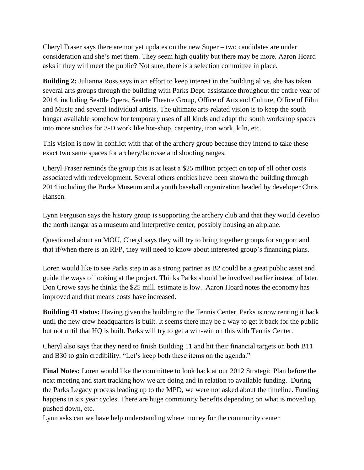Cheryl Fraser says there are not yet updates on the new Super – two candidates are under consideration and she's met them. They seem high quality but there may be more. Aaron Hoard asks if they will meet the public? Not sure, there is a selection committee in place.

**Building 2:** Julianna Ross says in an effort to keep interest in the building alive, she has taken several arts groups through the building with Parks Dept. assistance throughout the entire year of 2014, including Seattle Opera, Seattle Theatre Group, Office of Arts and Culture, Office of Film and Music and several individual artists. The ultimate arts-related vision is to keep the south hangar available somehow for temporary uses of all kinds and adapt the south workshop spaces into more studios for 3-D work like hot-shop, carpentry, iron work, kiln, etc.

This vision is now in conflict with that of the archery group because they intend to take these exact two same spaces for archery/lacrosse and shooting ranges.

Cheryl Fraser reminds the group this is at least a \$25 million project on top of all other costs associated with redevelopment. Several others entities have been shown the building through 2014 including the Burke Museum and a youth baseball organization headed by developer Chris Hansen.

Lynn Ferguson says the history group is supporting the archery club and that they would develop the north hangar as a museum and interpretive center, possibly housing an airplane.

Questioned about an MOU, Cheryl says they will try to bring together groups for support and that if/when there is an RFP, they will need to know about interested group's financing plans.

Loren would like to see Parks step in as a strong partner as B2 could be a great public asset and guide the ways of looking at the project. Thinks Parks should be involved earlier instead of later. Don Crowe says he thinks the \$25 mill. estimate is low. Aaron Hoard notes the economy has improved and that means costs have increased.

**Building 41 status:** Having given the building to the Tennis Center, Parks is now renting it back until the new crew headquarters is built. It seems there may be a way to get it back for the public but not until that HQ is built. Parks will try to get a win-win on this with Tennis Center.

Cheryl also says that they need to finish Building 11 and hit their financial targets on both B11 and B30 to gain credibility. "Let's keep both these items on the agenda."

**Final Notes:** Loren would like the committee to look back at our 2012 Strategic Plan before the next meeting and start tracking how we are doing and in relation to available funding. During the Parks Legacy process leading up to the MPD, we were not asked about the timeline. Funding happens in six year cycles. There are huge community benefits depending on what is moved up, pushed down, etc.

Lynn asks can we have help understanding where money for the community center